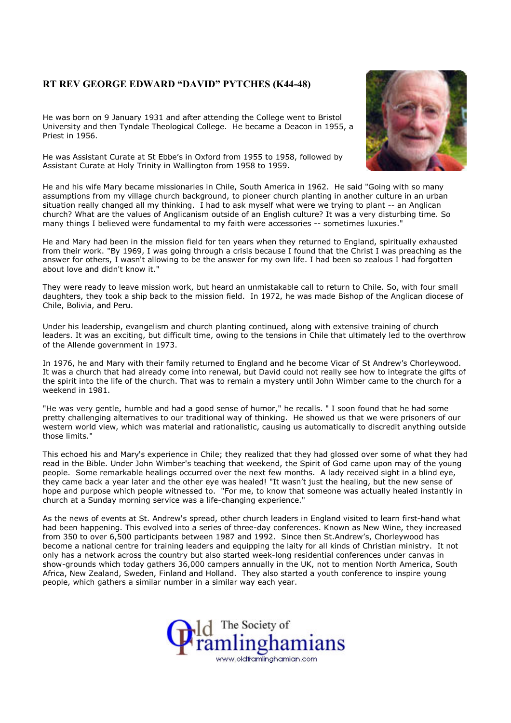## RT REV GEORGE EDWARD "DAVID" PYTCHES (K44-48)

He was born on 9 January 1931 and after attending the College went to Bristol University and then Tyndale Theological College. He became a Deacon in 1955, a Priest in 1956.

He was Assistant Curate at St Ebbe's in Oxford from 1955 to 1958, followed by Assistant Curate at Holy Trinity in Wallington from 1958 to 1959.

He and his wife Mary became missionaries in Chile, South America in 1962. He said "Going with so many assumptions from my village church background, to pioneer church planting in another culture in an urban situation really changed all my thinking. I had to ask myself what were we trying to plant -- an Anglican church? What are the values of Anglicanism outside of an English culture? It was a very disturbing time. So many things I believed were fundamental to my faith were accessories -- sometimes luxuries."

He and Mary had been in the mission field for ten years when they returned to England, spiritually exhausted from their work. "By 1969, I was going through a crisis because I found that the Christ I was preaching as the answer for others, I wasn't allowing to be the answer for my own life. I had been so zealous I had forgotten about love and didn't know it."

They were ready to leave mission work, but heard an unmistakable call to return to Chile. So, with four small daughters, they took a ship back to the mission field. In 1972, he was made Bishop of the Anglican diocese of Chile, Bolivia, and Peru.

Under his leadership, evangelism and church planting continued, along with extensive training of church leaders. It was an exciting, but difficult time, owing to the tensions in Chile that ultimately led to the overthrow of the Allende government in 1973.

In 1976, he and Mary with their family returned to England and he become Vicar of St Andrew's Chorleywood. It was a church that had already come into renewal, but David could not really see how to integrate the gifts of the spirit into the life of the church. That was to remain a mystery until John Wimber came to the church for a weekend in 1981.

"He was very gentle, humble and had a good sense of humor," he recalls. " I soon found that he had some pretty challenging alternatives to our traditional way of thinking. He showed us that we were prisoners of our western world view, which was material and rationalistic, causing us automatically to discredit anything outside those limits."

This echoed his and Mary's experience in Chile; they realized that they had glossed over some of what they had read in the Bible. Under John Wimber's teaching that weekend, the Spirit of God came upon may of the young people. Some remarkable healings occurred over the next few months. A lady received sight in a blind eye, they came back a year later and the other eye was healed! "It wasn't just the healing, but the new sense of hope and purpose which people witnessed to. "For me, to know that someone was actually healed instantly in church at a Sunday morning service was a life-changing experience."

As the news of events at St. Andrew's spread, other church leaders in England visited to learn first-hand what had been happening. This evolved into a series of three-day conferences. Known as New Wine, they increased from 350 to over 6,500 participants between 1987 and 1992. Since then St.Andrew's, Chorleywood has become a national centre for training leaders and equipping the laity for all kinds of Christian ministry. It not only has a network across the country but also started week-long residential conferences under canvas in show-grounds which today gathers 36,000 campers annually in the UK, not to mention North America, South Africa, New Zealand, Sweden, Finland and Holland. They also started a youth conference to inspire young people, which gathers a similar number in a similar way each year.



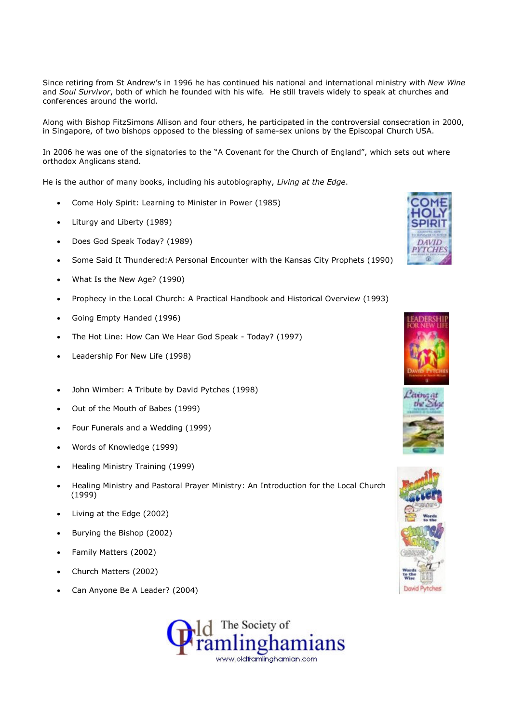Since retiring from St Andrew's in 1996 he has continued his national and international ministry with New Wine and Soul Survivor, both of which he founded with his wife. He still travels widely to speak at churches and conferences around the world.

Along with Bishop FitzSimons Allison and four others, he participated in the controversial consecration in 2000, in Singapore, of two bishops opposed to the blessing of same-sex unions by the Episcopal Church USA.

In 2006 he was one of the signatories to the "A Covenant for the Church of England", which sets out where orthodox Anglicans stand.

He is the author of many books, including his autobiography, Living at the Edge.

- Come Holy Spirit: Learning to Minister in Power (1985)
- Liturgy and Liberty (1989)
- Does God Speak Today? (1989)
- Some Said It Thundered:A Personal Encounter with the Kansas City Prophets (1990)
- What Is the New Age? (1990)
- Prophecy in the Local Church: A Practical Handbook and Historical Overview (1993)
- Going Empty Handed (1996)
- The Hot Line: How Can We Hear God Speak Today? (1997)
- Leadership For New Life (1998)
- John Wimber: A Tribute by David Pytches (1998)
- Out of the Mouth of Babes (1999)
- Four Funerals and a Wedding (1999)
- Words of Knowledge (1999)
- Healing Ministry Training (1999)
- Healing Ministry and Pastoral Prayer Ministry: An Introduction for the Local Church (1999)
- Living at the Edge (2002)
- Burying the Bishop (2002)
- Family Matters (2002)
- Church Matters (2002)
- Can Anyone Be A Leader? (2004)